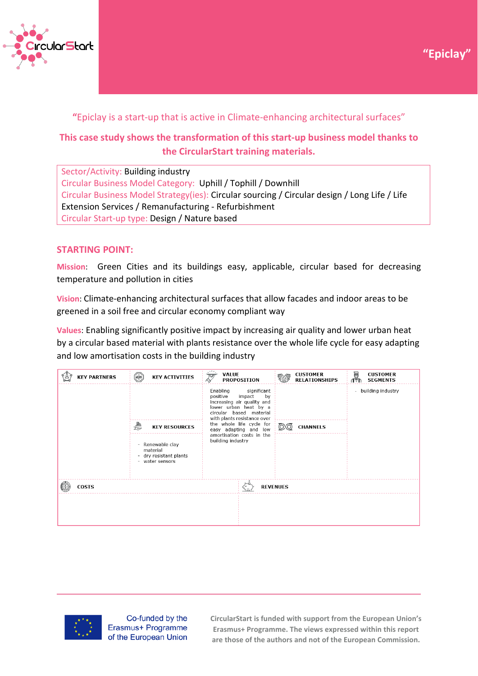



## **"**Epiclay is a start-up that is active in Climate-enhancing architectural surfaces"

# **This case study shows the transformation of this start-up business model thanks to the CircularStart training materials.**

Sector/Activity: Building industry Circular Business Model Category: Uphill / Tophill / Downhill Circular Business Model Strategy(ies): Circular sourcing / Circular design / Long Life / Life Extension Services / Remanufacturing - Refurbishment Circular Start-up type: Design / Nature based

### **STARTING POINT:**

**Mission**: Green Cities and its buildings easy, applicable, circular based for decreasing temperature and pollution in cities

**Vision**: Climate-enhancing architectural surfaces that allow facades and indoor areas to be greened in a soil free and circular economy compliant way

**Values**: Enabling significantly positive impact by increasing air quality and lower urban heat by a circular based material with plants resistance over the whole life cycle for easy adapting and low amortisation costs in the building industry

| <b>KEY PARTNERS</b> | $\begin{pmatrix} 1 & 1 \\ 1 & 1 \end{pmatrix}$<br><b>KEY ACTIVITIES</b>   | <b>VALUE</b><br>$\overline{\mathcal{Z}}$<br><b>PROPOSITION</b>                                                                                                       | <b>CUSTOMER</b><br><b>RELATIONSHIPS</b> | é<br><b>CUSTOMER</b><br><b>SEGMENTS</b>       |
|---------------------|---------------------------------------------------------------------------|----------------------------------------------------------------------------------------------------------------------------------------------------------------------|-----------------------------------------|-----------------------------------------------|
|                     |                                                                           | significant<br>Enabling<br>impact<br>positive<br>by<br>increasing air quality and<br>lower urban heat by a<br>circular based material<br>with plants resistance over |                                         | building industry<br>$\overline{\phantom{a}}$ |
|                     | ₩<br><b>KEY RESOURCES</b>                                                 | the whole life cycle for<br>easy adapting and low                                                                                                                    | <b>CHANNELS</b>                         |                                               |
|                     | - Renewable clay<br>material<br>- dry resistant plants<br>- water sensors | amortisation costs in the<br>building industry                                                                                                                       |                                         |                                               |
| <b>COSTS</b>        |                                                                           |                                                                                                                                                                      | <b>REVENUES</b>                         |                                               |
|                     |                                                                           |                                                                                                                                                                      |                                         |                                               |



Co-funded by the Erasmus+ Programme of the European Union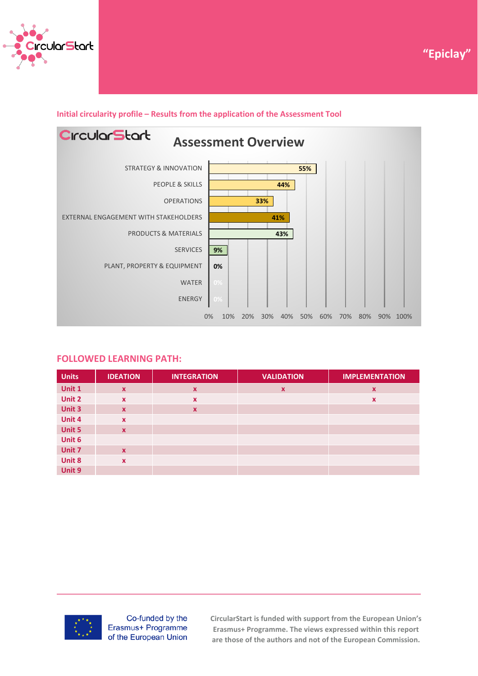



#### **Initial circularity profile – Results from the application of the Assessment Tool**



#### **FOLLOWED LEARNING PATH:**

| <b>Units</b> | <b>IDEATION</b>           | <b>INTEGRATION</b>        | <b>VALIDATION</b>         | <b>IMPLEMENTATION</b> |
|--------------|---------------------------|---------------------------|---------------------------|-----------------------|
| Unit 1       | $\boldsymbol{\mathsf{x}}$ | $\boldsymbol{\mathsf{x}}$ | $\boldsymbol{\mathsf{x}}$ | X                     |
| Unit 2       | $\mathbf x$               | $\boldsymbol{\mathsf{x}}$ |                           | X                     |
| Unit 3       | $\mathbf{x}$              | $\boldsymbol{\mathsf{x}}$ |                           |                       |
| Unit 4       | $\mathbf{x}$              |                           |                           |                       |
| Unit 5       | $\mathbf{x}$              |                           |                           |                       |
| Unit 6       |                           |                           |                           |                       |
| Unit 7       | $\mathbf{x}$              |                           |                           |                       |
| Unit 8       | $\mathbf x$               |                           |                           |                       |
| Unit 9       |                           |                           |                           |                       |



Co-funded by the Erasmus+ Programme of the European Union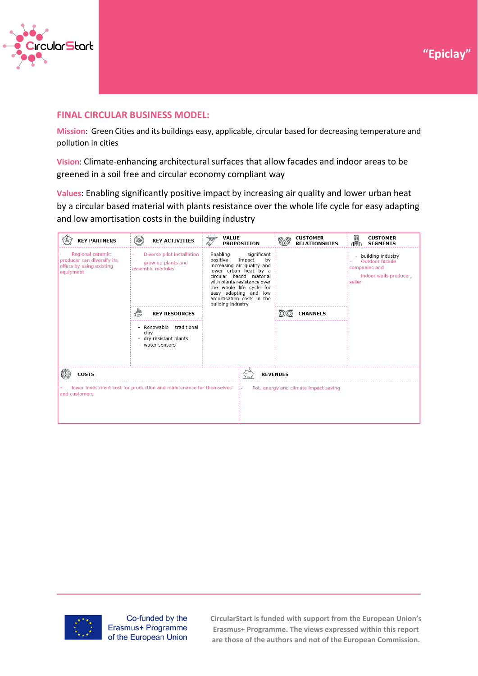



#### **FINAL CIRCULAR BUSINESS MODEL:**

**Mission**: Green Cities and its buildings easy, applicable, circular based for decreasing temperature and pollution in cities

**Vision**: Climate-enhancing architectural surfaces that allow facades and indoor areas to be greened in a soil free and circular economy compliant way

**Values**: Enabling significantly positive impact by increasing air quality and lower urban heat by a circular based material with plants resistance over the whole life cycle for easy adapting and low amortisation costs in the building industry

| <b>KEY PARTNERS</b>                                                                                                           | <b>WORK</b><br><b>KEY ACTIVITIES</b>                                            | ,,,,<br><b>VALUE</b><br><b>PROPOSITION</b>                                                                                                                                                                                                                                  | <b>CUSTOMER</b><br><b>RELATIONSHIPS</b> | 圝<br><b>CUSTOMER</b><br><b>SEGMENTS</b>                                                  |  |
|-------------------------------------------------------------------------------------------------------------------------------|---------------------------------------------------------------------------------|-----------------------------------------------------------------------------------------------------------------------------------------------------------------------------------------------------------------------------------------------------------------------------|-----------------------------------------|------------------------------------------------------------------------------------------|--|
| Regional ceramic<br>producer can diversify its<br>offers by using existing<br>equipment                                       | Diverse pilot installation<br>grow up plants and<br>assemble modules            | Enabling<br>significant<br>positive<br>impact<br>by<br>increasing air quality and<br>lower urban heat by a<br>circular based material<br>with plants resistance over<br>the whole life cycle for<br>easy adapting and low<br>amortisation costs in the<br>building industry |                                         | building industry<br>Outdoor facade<br>companies and<br>indoor walls producer,<br>seller |  |
|                                                                                                                               | €<br><b>KEY RESOURCES</b>                                                       |                                                                                                                                                                                                                                                                             | <b>CHANNELS</b>                         |                                                                                          |  |
|                                                                                                                               | - Renewable<br>traditional<br>clay<br>- dry resistant plants<br>- water sensors |                                                                                                                                                                                                                                                                             |                                         |                                                                                          |  |
| <b>COSTS</b><br><b>REVENUES</b>                                                                                               |                                                                                 |                                                                                                                                                                                                                                                                             |                                         |                                                                                          |  |
| lower investment cost for production and maintenance for themselves<br>Pot. energy and climate impact saving<br>and customers |                                                                                 |                                                                                                                                                                                                                                                                             |                                         |                                                                                          |  |



Co-funded by the Erasmus+ Programme of the European Union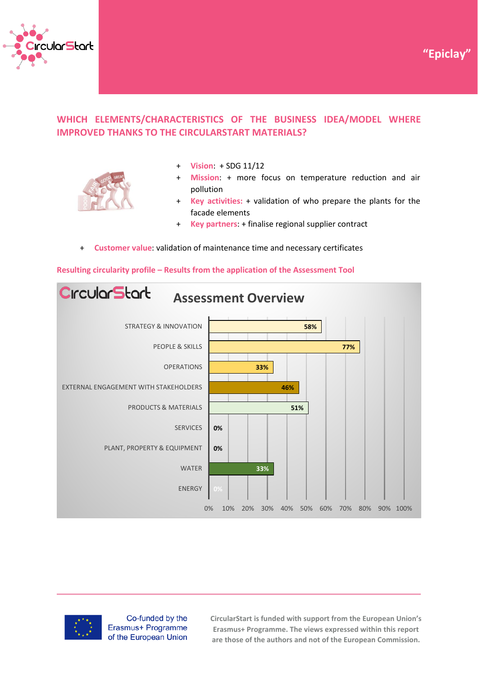



# **WHICH ELEMENTS/CHARACTERISTICS OF THE BUSINESS IDEA/MODEL WHERE IMPROVED THANKS TO THE CIRCULARSTART MATERIALS?**



- + **Vision**: + SDG 11/12
- + **Mission**: + more focus on temperature reduction and air pollution
- + **Key activities:** + validation of who prepare the plants for the facade elements
- + **Key partners**: + finalise regional supplier contract
- + **Customer value**: validation of maintenance time and necessary certificates

#### **Resulting circularity profile – Results from the application of the Assessment Tool**





Co-funded by the Erasmus+ Programme of the European Union